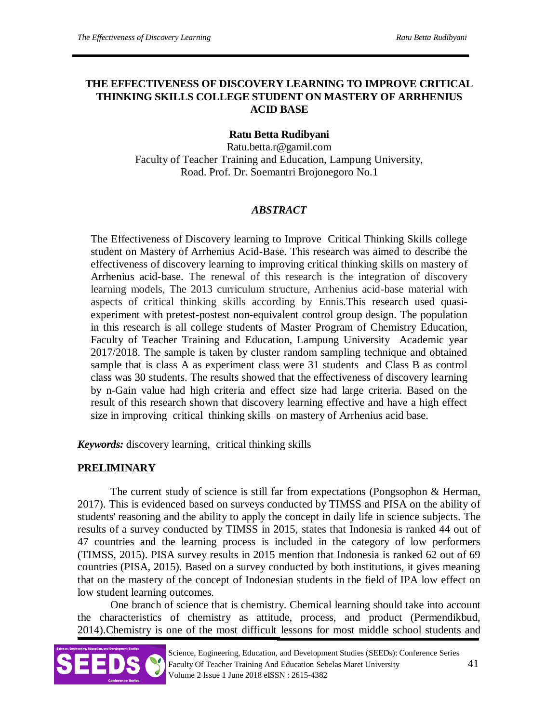# **THE EFFECTIVENESS OF DISCOVERY LEARNING TO IMPROVE CRITICAL THINKING SKILLS COLLEGE STUDENT ON MASTERY OF ARRHENIUS ACID BASE**

# **Ratu Betta Rudibyani**

Ratu.betta.r@gamil.com Faculty of Teacher Training and Education, Lampung University, Road. Prof. Dr. Soemantri Brojonegoro No.1

### *ABSTRACT*

The Effectiveness of Discovery learning to Improve Critical Thinking Skills college student on Mastery of Arrhenius Acid-Base. This research was aimed to describe the effectiveness of discovery learning to improving critical thinking skills on mastery of Arrhenius acid-base. The renewal of this research is the integration of discovery learning models, The 2013 curriculum structure, Arrhenius acid-base material with aspects of critical thinking skills according by Ennis.This research used quasiexperiment with pretest-postest non-equivalent control group design. The population in this research is all college students of Master Program of Chemistry Education, Faculty of Teacher Training and Education, Lampung University Academic year 2017/2018. The sample is taken by cluster random sampling technique and obtained sample that is class A as experiment class were 31 students and Class B as control class was 30 students. The results showed that the effectiveness of discovery learning by n-Gain value had high criteria and effect size had large criteria. Based on the result of this research shown that discovery learning effective and have a high effect size in improving critical thinking skills on mastery of Arrhenius acid base.

*Keywords:* discovery learning, critical thinking skills

### **PRELIMINARY**

The current study of science is still far from expectations (Pongsophon & Herman, 2017). This is evidenced based on surveys conducted by TIMSS and PISA on the ability of students' reasoning and the ability to apply the concept in daily life in science subjects. The results of a survey conducted by TIMSS in 2015, states that Indonesia is ranked 44 out of 47 countries and the learning process is included in the category of low performers (TIMSS, 2015). PISA survey results in 2015 mention that Indonesia is ranked 62 out of 69 countries (PISA, 2015). Based on a survey conducted by both institutions, it gives meaning that on the mastery of the concept of Indonesian students in the field of IPA low effect on low student learning outcomes.

One branch of science that is chemistry. Chemical learning should take into account the characteristics of chemistry as attitude, process, and product (Permendikbud, 2014).Chemistry is one of the most difficult lessons for most middle school students and

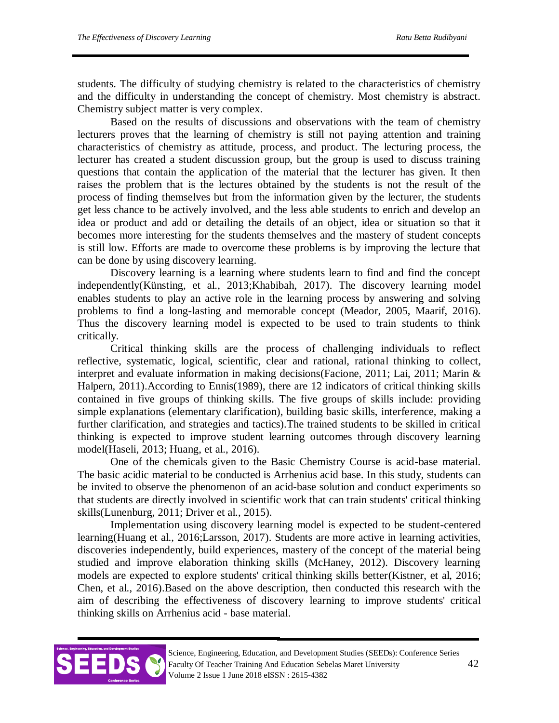students. The difficulty of studying chemistry is related to the characteristics of chemistry and the difficulty in understanding the concept of chemistry. Most chemistry is abstract. Chemistry subject matter is very complex.

Based on the results of discussions and observations with the team of chemistry lecturers proves that the learning of chemistry is still not paying attention and training characteristics of chemistry as attitude, process, and product. The lecturing process, the lecturer has created a student discussion group, but the group is used to discuss training questions that contain the application of the material that the lecturer has given. It then raises the problem that is the lectures obtained by the students is not the result of the process of finding themselves but from the information given by the lecturer, the students get less chance to be actively involved, and the less able students to enrich and develop an idea or product and add or detailing the details of an object, idea or situation so that it becomes more interesting for the students themselves and the mastery of student concepts is still low. Efforts are made to overcome these problems is by improving the lecture that can be done by using discovery learning.

Discovery learning is a learning where students learn to find and find the concept independently(Künsting, et al., 2013;Khabibah, 2017). The discovery learning model enables students to play an active role in the learning process by answering and solving problems to find a long-lasting and memorable concept (Meador, 2005, Maarif, 2016). Thus the discovery learning model is expected to be used to train students to think critically.

Critical thinking skills are the process of challenging individuals to reflect reflective, systematic, logical, scientific, clear and rational, rational thinking to collect, interpret and evaluate information in making decisions(Facione, 2011; Lai, 2011; Marin & Halpern, 2011).According to Ennis(1989), there are 12 indicators of critical thinking skills contained in five groups of thinking skills. The five groups of skills include: providing simple explanations (elementary clarification), building basic skills, interference, making a further clarification, and strategies and tactics).The trained students to be skilled in critical thinking is expected to improve student learning outcomes through discovery learning model(Haseli, 2013; Huang, et al., 2016).

One of the chemicals given to the Basic Chemistry Course is acid-base material. The basic acidic material to be conducted is Arrhenius acid base. In this study, students can be invited to observe the phenomenon of an acid-base solution and conduct experiments so that students are directly involved in scientific work that can train students' critical thinking skills(Lunenburg, 2011; Driver et al., 2015).

Implementation using discovery learning model is expected to be student-centered learning(Huang et al., 2016;Larsson, 2017). Students are more active in learning activities, discoveries independently, build experiences, mastery of the concept of the material being studied and improve elaboration thinking skills (McHaney, 2012). Discovery learning models are expected to explore students' critical thinking skills better(Kistner, et al, 2016; Chen, et al., 2016).Based on the above description, then conducted this research with the aim of describing the effectiveness of discovery learning to improve students' critical thinking skills on Arrhenius acid - base material.

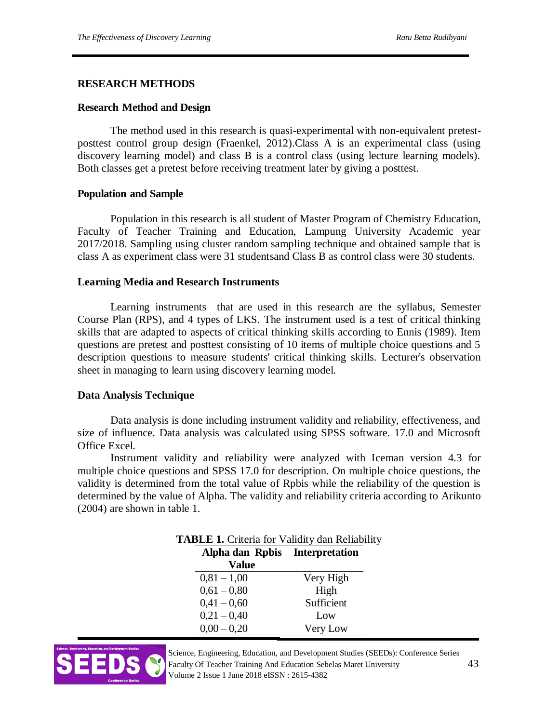#### **RESEARCH METHODS**

#### **Research Method and Design**

The method used in this research is quasi-experimental with non-equivalent pretestposttest control group design (Fraenkel, 2012).Class A is an experimental class (using discovery learning model) and class B is a control class (using lecture learning models). Both classes get a pretest before receiving treatment later by giving a posttest.

#### **Population and Sample**

Population in this research is all student of Master Program of Chemistry Education, Faculty of Teacher Training and Education, Lampung University Academic year 2017/2018. Sampling using cluster random sampling technique and obtained sample that is class A as experiment class were 31 studentsand Class B as control class were 30 students.

#### **Learning Media and Research Instruments**

Learning instruments that are used in this research are the syllabus, Semester Course Plan (RPS), and 4 types of LKS. The instrument used is a test of critical thinking skills that are adapted to aspects of critical thinking skills according to Ennis (1989). Item questions are pretest and posttest consisting of 10 items of multiple choice questions and 5 description questions to measure students' critical thinking skills. Lecturer's observation sheet in managing to learn using discovery learning model.

### **Data Analysis Technique**

Data analysis is done including instrument validity and reliability, effectiveness, and size of influence. Data analysis was calculated using SPSS software. 17.0 and Microsoft Office Excel.

Instrument validity and reliability were analyzed with Iceman version 4.3 for multiple choice questions and SPSS 17.0 for description. On multiple choice questions, the validity is determined from the total value of Rpbis while the reliability of the question is determined by the value of Alpha. The validity and reliability criteria according to Arikunto (2004) are shown in table 1.

| Alpha dan Rpbis Interpretation |            |
|--------------------------------|------------|
| Value                          |            |
| $0,81 - 1,00$                  | Very High  |
| $0,61 - 0,80$                  | High       |
| $0,41 - 0,60$                  | Sufficient |
| $0,21 - 0,40$                  | Low        |
| $0,00 - 0,20$                  | Very Low   |



Science, Engineering, Education, and Development Studies (SEEDs): Conference Series Faculty Of Teacher Training And Education Sebelas Maret University 43 Volume 2 Issue 1 June 2018 eISSN : 2615-4382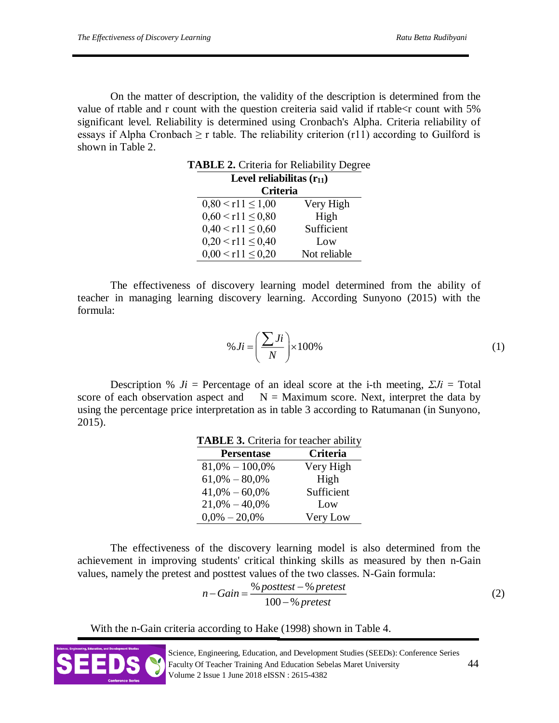On the matter of description, the validity of the description is determined from the value of rtable and r count with the question creiteria said valid if rtable<r count with 5% significant level. Reliability is determined using Cronbach's Alpha. Criteria reliability of essays if Alpha Cronbach  $\geq r$  table. The reliability criterion (r11) according to Guilford is shown in Table 2.

| <b>TABLE 2.</b> Criteria for Reliability Degree |              |  |  |  |  |
|-------------------------------------------------|--------------|--|--|--|--|
| Level reliabilitas $(r_{11})$                   |              |  |  |  |  |
| <b>Criteria</b>                                 |              |  |  |  |  |
| $0,80 \leq r11 \leq 1,00$                       | Very High    |  |  |  |  |
| $0,60 \leq r11 \leq 0,80$                       | High         |  |  |  |  |
| $0,40 < r11 \le 0,60$                           | Sufficient   |  |  |  |  |
| $0,20 \le r11 \le 0,40$                         | Low          |  |  |  |  |
| $0,00 \le r11 \le 0,20$                         | Not reliable |  |  |  |  |

The effectiveness of discovery learning model determined from the ability of teacher in managing learning discovery learning. According Sunyono (2015) with the formula:

$$
\% Ji = \left(\frac{\sum Ji}{N}\right) \times 100\%
$$
 (1)

Description %  $J_i$  = Percentage of an ideal score at the i-th meeting,  $\Sigma J_i$  = Total score of each observation aspect and  $N =$  Maximum score. Next, interpret the data by using the percentage price interpretation as in table 3 according to Ratumanan (in Sunyono, 2015).

**TABLE 3.** Criteria for teacher ability

| <b>Trable 3:</b> Chicha for teacher ability |                 |  |  |
|---------------------------------------------|-----------------|--|--|
| <b>Persentase</b>                           | <b>Criteria</b> |  |  |
| $81,0\% - 100,0\%$                          | Very High       |  |  |
| $61,0\% - 80,0\%$                           | High            |  |  |
| $41,0\% - 60,0\%$                           | Sufficient      |  |  |
| $21,0\% - 40,0\%$                           | Low             |  |  |
| $0.0\% - 20.0\%$                            | Very Low        |  |  |

The effectiveness of the discovery learning model is also determined from the achievement in improving students' critical thinking skills as measured by then n-Gain values, namely the pretest and posttest values of the two classes. N-Gain formula:

$$
n - Gain = \frac{\% \text{ posttest} - \% \text{ pretest}}{100 - \% \text{ pretest}} \tag{2}
$$

With the n-Gain criteria according to Hake (1998) shown in Table 4.

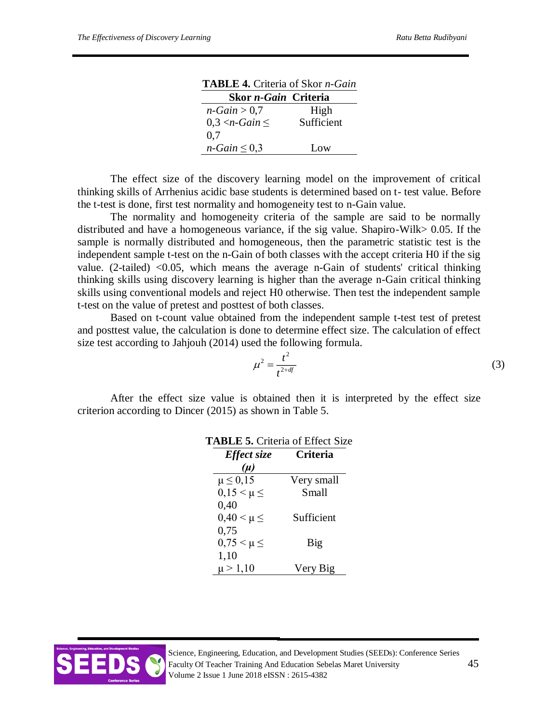| <b>TABLE 4.</b> Criteria of Skor <i>n</i> -Gain |            |
|-------------------------------------------------|------------|
| Skor <i>n-Gain</i> Criteria                     |            |
| $n-Gain > 0.7$                                  | High       |
| $0,3 < n$ -Gain $\leq$                          | Sufficient |
| 0.7                                             |            |
| $n-Gain \leq 0.3$                               | Low        |

|  |  |                                                                              | <b>TABLE 4.</b> Criteria of Skor <i>n</i> -Gain |
|--|--|------------------------------------------------------------------------------|-------------------------------------------------|
|  |  | $\Gamma$ <sub>ron u</sub> $\Gamma$ <sub>ain</sub> $\Gamma$ <sub>mitomo</sub> |                                                 |

The effect size of the discovery learning model on the improvement of critical thinking skills of Arrhenius acidic base students is determined based on t- test value. Before the t-test is done, first test normality and homogeneity test to n-Gain value.

The normality and homogeneity criteria of the sample are said to be normally distributed and have a homogeneous variance, if the sig value. Shapiro-Wilk> 0.05. If the sample is normally distributed and homogeneous, then the parametric statistic test is the independent sample t-test on the n-Gain of both classes with the accept criteria H0 if the sig value. (2-tailed) <0.05, which means the average n-Gain of students' critical thinking thinking skills using discovery learning is higher than the average n-Gain critical thinking skills using conventional models and reject H0 otherwise. Then test the independent sample t-test on the value of pretest and posttest of both classes.

Based on t-count value obtained from the independent sample t-test test of pretest and posttest value, the calculation is done to determine effect size. The calculation of effect size test according to Jahjouh (2014) used the following formula.

$$
\mu^2 = \frac{t^2}{t^{2+df}}\tag{3}
$$

After the effect size value is obtained then it is interpreted by the effect size criterion according to Dincer (2015) as shown in Table 5.

| <b>TABLE 5. Criteria of Effect Size</b> |            |
|-----------------------------------------|------------|
| Effect size                             | Criteria   |
| $(\mu)$                                 |            |
| $\mu \leq 0.15$                         | Very small |
| $0, 15 \leq \mu \leq$                   | Small      |
| 0,40                                    |            |
| $0,40 \leq \mu \leq$                    | Sufficient |
| 0,75                                    |            |
| $0.75 < \mu \leq$                       | Big        |
| 1,10                                    |            |
| $\mu > 1,10$                            | Very Big   |

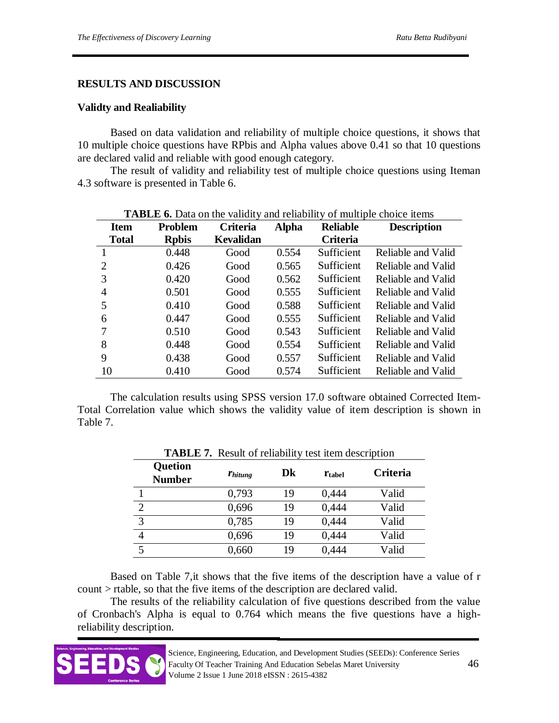### **RESULTS AND DISCUSSION**

#### **Validty and Realiability**

Based on data validation and reliability of multiple choice questions, it shows that 10 multiple choice questions have RPbis and Alpha values above 0.41 so that 10 questions are declared valid and reliable with good enough category.

The result of validity and reliability test of multiple choice questions using Iteman 4.3 software is presented in Table 6.

| Item         | <b>Problem</b> | <b>The Dealer</b> of Data on the validity and reliability<br>Criteria | <b>Alpha</b> | <b>Reliable</b> | <b>Description</b> |
|--------------|----------------|-----------------------------------------------------------------------|--------------|-----------------|--------------------|
| <b>Total</b> | <b>Rpbis</b>   | <b>Kevalidan</b>                                                      |              | Criteria        |                    |
|              | 0.448          | Good                                                                  | 0.554        | Sufficient      | Reliable and Valid |
| 2            | 0.426          | Good                                                                  | 0.565        | Sufficient      | Reliable and Valid |
| 3            | 0.420          | Good                                                                  | 0.562        | Sufficient      | Reliable and Valid |
| 4            | 0.501          | Good                                                                  | 0.555        | Sufficient      | Reliable and Valid |
| 5            | 0.410          | Good                                                                  | 0.588        | Sufficient      | Reliable and Valid |
| 6            | 0.447          | Good                                                                  | 0.555        | Sufficient      | Reliable and Valid |
| 7            | 0.510          | Good                                                                  | 0.543        | Sufficient      | Reliable and Valid |
| 8            | 0.448          | Good                                                                  | 0.554        | Sufficient      | Reliable and Valid |
| 9            | 0.438          | Good                                                                  | 0.557        | Sufficient      | Reliable and Valid |
| 10           | 0.410          | Good                                                                  | 0.574        | Sufficient      | Reliable and Valid |

**TABLE 6.** Data on the validity and reliability of multiple choice items

The calculation results using SPSS version 17.0 software obtained Corrected Item-Total Correlation value which shows the validity value of item description is shown in Table 7.

| <b>Quetion</b><br><b>Number</b> | <b>Thitung</b> | Dk | $r_{\text{table}}$ | Criteria |
|---------------------------------|----------------|----|--------------------|----------|
|                                 | 0,793          | 19 | 0,444              | Valid    |
|                                 | 0,696          | 19 | 0,444              | Valid    |
| 3                               | 0,785          | 19 | 0,444              | Valid    |
|                                 | 0,696          | 19 | 0,444              | Valid    |
|                                 | 0,660          | 19 | 0,444              | Valid    |

**TABLE 7.** Result of reliability test item description

Based on Table 7,it shows that the five items of the description have a value of r count > rtable, so that the five items of the description are declared valid.

The results of the reliability calculation of five questions described from the value of Cronbach's Alpha is equal to 0.764 which means the five questions have a highreliability description.

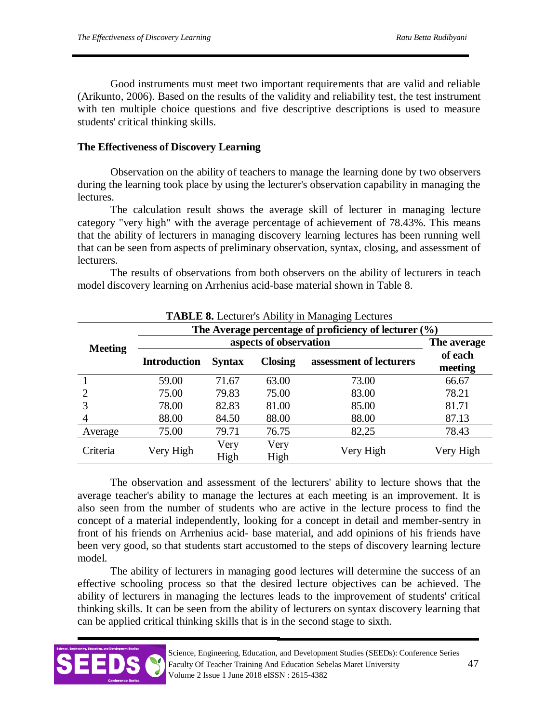Good instruments must meet two important requirements that are valid and reliable (Arikunto, 2006). Based on the results of the validity and reliability test, the test instrument with ten multiple choice questions and five descriptive descriptions is used to measure students' critical thinking skills.

# **The Effectiveness of Discovery Learning**

Observation on the ability of teachers to manage the learning done by two observers during the learning took place by using the lecturer's observation capability in managing the lectures.

The calculation result shows the average skill of lecturer in managing lecture category "very high" with the average percentage of achievement of 78.43%. This means that the ability of lecturers in managing discovery learning lectures has been running well that can be seen from aspects of preliminary observation, syntax, closing, and assessment of lecturers.

The results of observations from both observers on the ability of lecturers in teach model discovery learning on Arrhenius acid-base material shown in Table 8.

| $\frac{1}{2}$ and $\frac{1}{2}$ is the contract of $\frac{1}{2}$ in $\frac{1}{2}$ . The contract of $\frac{1}{2}$ |                     |                        |                |                         |                    |  |  |
|-------------------------------------------------------------------------------------------------------------------|---------------------|------------------------|----------------|-------------------------|--------------------|--|--|
| The Average percentage of proficiency of lecturer (%)                                                             |                     |                        |                |                         |                    |  |  |
| <b>Meeting</b>                                                                                                    |                     | aspects of observation |                |                         |                    |  |  |
|                                                                                                                   | <b>Introduction</b> | <b>Syntax</b>          | <b>Closing</b> | assessment of lecturers | of each<br>meeting |  |  |
|                                                                                                                   | 59.00               | 71.67                  | 63.00          | 73.00                   | 66.67              |  |  |
| 2                                                                                                                 | 75.00               | 79.83                  | 75.00          | 83.00                   | 78.21              |  |  |
|                                                                                                                   | 78.00               | 82.83                  | 81.00          | 85.00                   | 81.71              |  |  |
| 4                                                                                                                 | 88.00               | 84.50                  | 88.00          | 88.00                   | 87.13              |  |  |
| Average                                                                                                           | 75.00               | 79.71                  | 76.75          | 82,25                   | 78.43              |  |  |
| Criteria                                                                                                          | Very High           | Very                   | Very           | Very High               | Very High          |  |  |
|                                                                                                                   |                     | High                   | High           |                         |                    |  |  |

**TABLE 8.** Lecturer's Ability in Managing Lectures

The observation and assessment of the lecturers' ability to lecture shows that the average teacher's ability to manage the lectures at each meeting is an improvement. It is also seen from the number of students who are active in the lecture process to find the concept of a material independently, looking for a concept in detail and member-sentry in front of his friends on Arrhenius acid- base material, and add opinions of his friends have been very good, so that students start accustomed to the steps of discovery learning lecture model.

The ability of lecturers in managing good lectures will determine the success of an effective schooling process so that the desired lecture objectives can be achieved. The ability of lecturers in managing the lectures leads to the improvement of students' critical thinking skills. It can be seen from the ability of lecturers on syntax discovery learning that can be applied critical thinking skills that is in the second stage to sixth.

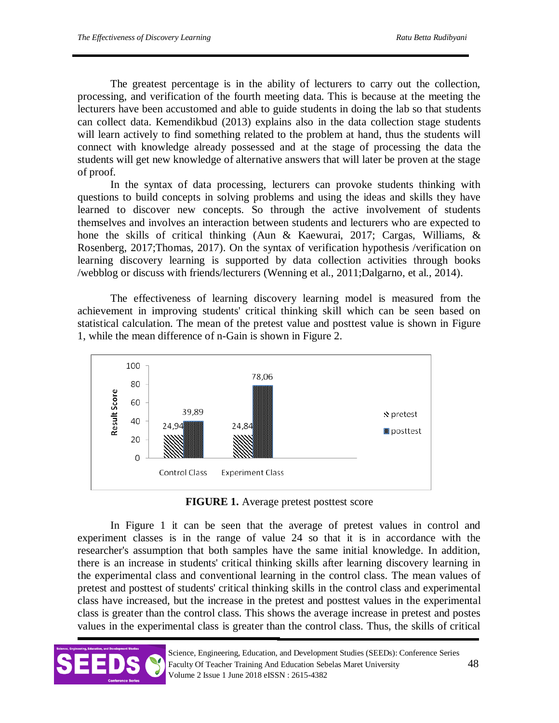The greatest percentage is in the ability of lecturers to carry out the collection, processing, and verification of the fourth meeting data. This is because at the meeting the lecturers have been accustomed and able to guide students in doing the lab so that students can collect data. Kemendikbud (2013) explains also in the data collection stage students will learn actively to find something related to the problem at hand, thus the students will connect with knowledge already possessed and at the stage of processing the data the students will get new knowledge of alternative answers that will later be proven at the stage of proof.

In the syntax of data processing, lecturers can provoke students thinking with questions to build concepts in solving problems and using the ideas and skills they have learned to discover new concepts. So through the active involvement of students themselves and involves an interaction between students and lecturers who are expected to hone the skills of critical thinking (Aun & Kaewurai, 2017; Cargas, Williams, & Rosenberg, 2017;Thomas, 2017). On the syntax of verification hypothesis /verification on learning discovery learning is supported by data collection activities through books /webblog or discuss with friends/lecturers (Wenning et al., 2011;Dalgarno, et al., 2014).

The effectiveness of learning discovery learning model is measured from the achievement in improving students' critical thinking skill which can be seen based on statistical calculation. The mean of the pretest value and posttest value is shown in Figure 1, while the mean difference of n-Gain is shown in Figure 2.



**FIGURE 1.** Average pretest posttest score

In Figure 1 it can be seen that the average of pretest values in control and experiment classes is in the range of value 24 so that it is in accordance with the researcher's assumption that both samples have the same initial knowledge. In addition, there is an increase in students' critical thinking skills after learning discovery learning in the experimental class and conventional learning in the control class. The mean values of pretest and posttest of students' critical thinking skills in the control class and experimental class have increased, but the increase in the pretest and posttest values in the experimental class is greater than the control class. This shows the average increase in pretest and postes values in the experimental class is greater than the control class. Thus, the skills of critical



Science, Engineering, Education, and Development Studies (SEEDs): Conference Series Faculty Of Teacher Training And Education Sebelas Maret University 48 Volume 2 Issue 1 June 2018 eISSN : 2615-4382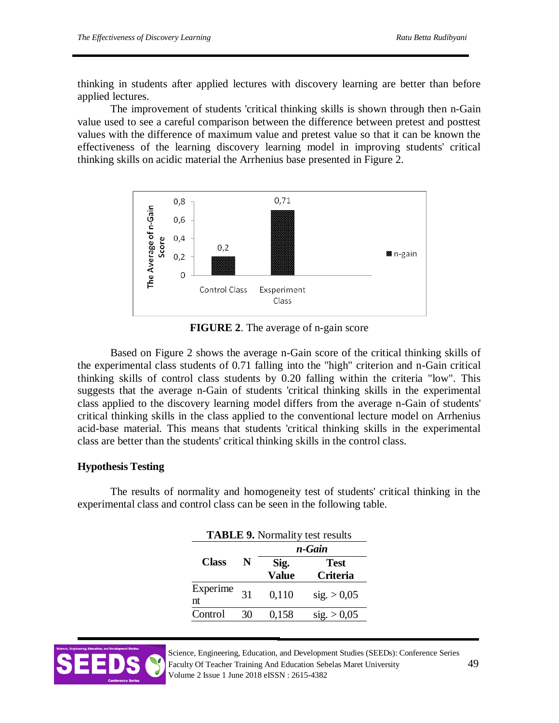thinking in students after applied lectures with discovery learning are better than before applied lectures.

The improvement of students 'critical thinking skills is shown through then n-Gain value used to see a careful comparison between the difference between pretest and posttest values with the difference of maximum value and pretest value so that it can be known the effectiveness of the learning discovery learning model in improving students' critical thinking skills on acidic material the Arrhenius base presented in Figure 2.



**FIGURE 2**. The average of n-gain score

Based on Figure 2 shows the average n-Gain score of the critical thinking skills of the experimental class students of 0.71 falling into the "high" criterion and n-Gain critical thinking skills of control class students by 0.20 falling within the criteria "low". This suggests that the average n-Gain of students 'critical thinking skills in the experimental class applied to the discovery learning model differs from the average n-Gain of students' critical thinking skills in the class applied to the conventional lecture model on Arrhenius acid-base material. This means that students 'critical thinking skills in the experimental class are better than the students' critical thinking skills in the control class.

### **Hypothesis Testing**

The results of normality and homogeneity test of students' critical thinking in the experimental class and control class can be seen in the following table.

| <b>TABLE 9.</b> Normality test results |    |        |                 |  |  |
|----------------------------------------|----|--------|-----------------|--|--|
|                                        |    | n-Gain |                 |  |  |
| <b>Class</b>                           | N  | Sig.   | <b>Test</b>     |  |  |
|                                        |    | Value  | <b>Criteria</b> |  |  |
| Experime                               | 31 | 0,110  | sig. > 0,05     |  |  |
| nt                                     |    |        |                 |  |  |
| Control                                | 30 | 0,158  | sig. > 0.05     |  |  |



Science, Engineering, Education, and Development Studies (SEEDs): Conference Series Faculty Of Teacher Training And Education Sebelas Maret University 49 Volume 2 Issue 1 June 2018 eISSN : 2615-4382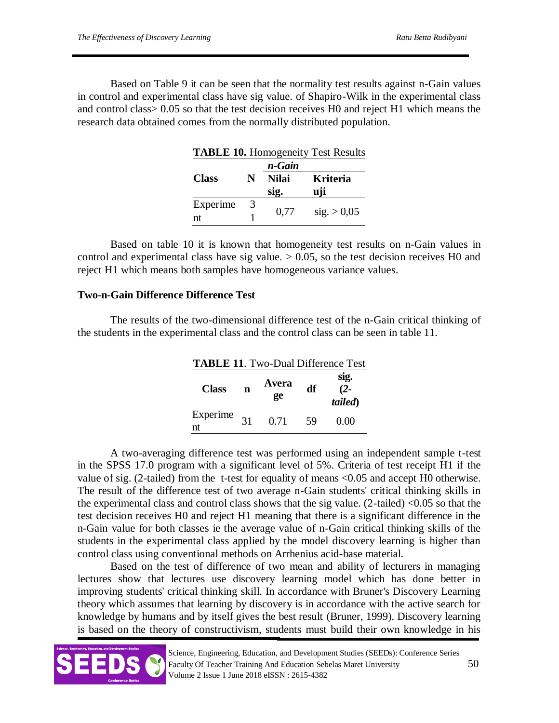Based on Table 9 it can be seen that the normality test results against n-Gain values in control and experimental class have sig value. of Shapiro-Wilk in the experimental class and control class> 0.05 so that the test decision receives H0 and reject H1 which means the research data obtained comes from the normally distributed population.

| <b>TABLE 10.</b> Homogeneity Test Results |   |              |                 |  |  |
|-------------------------------------------|---|--------------|-----------------|--|--|
|                                           |   | n-Gain       |                 |  |  |
| <b>Class</b>                              | N | <b>Nilai</b> | <b>Kriteria</b> |  |  |
|                                           |   | sig.         | uji             |  |  |
| Experime                                  | 3 |              |                 |  |  |
| nt                                        |   | 0,77         | sig. > 0.05     |  |  |

Based on table 10 it is known that homogeneity test results on n-Gain values in control and experimental class have sig value.  $> 0.05$ , so the test decision receives H0 and reject H1 which means both samples have homogeneous variance values.

### **Two-n-Gain Difference Difference Test**

The results of the two-dimensional difference test of the n-Gain critical thinking of the students in the experimental class and the control class can be seen in table 11.

| <b>TABLE 11.</b> Two-Dual Difference Test |    |             |    |                           |
|-------------------------------------------|----|-------------|----|---------------------------|
| <b>Class</b>                              | n  | Avera<br>ge | df | sig.<br>$(2 -$<br>tailed) |
| Experime<br>nt                            | 31 | 0.71        | 59 | 0.00                      |

A two-averaging difference test was performed using an independent sample t-test in the SPSS 17.0 program with a significant level of 5%. Criteria of test receipt H1 if the value of sig. (2-tailed) from the t-test for equality of means <0.05 and accept H0 otherwise. The result of the difference test of two average n-Gain students' critical thinking skills in the experimental class and control class shows that the sig value.  $(2$ -tailed) <0.05 so that the test decision receives H0 and reject H1 meaning that there is a significant difference in the n-Gain value for both classes ie the average value of n-Gain critical thinking skills of the students in the experimental class applied by the model discovery learning is higher than control class using conventional methods on Arrhenius acid-base material.

Based on the test of difference of two mean and ability of lecturers in managing lectures show that lectures use discovery learning model which has done better in improving students' critical thinking skill. In accordance with Bruner's Discovery Learning theory which assumes that learning by discovery is in accordance with the active search for knowledge by humans and by itself gives the best result (Bruner, 1999). Discovery learning is based on the theory of constructivism, students must build their own knowledge in his

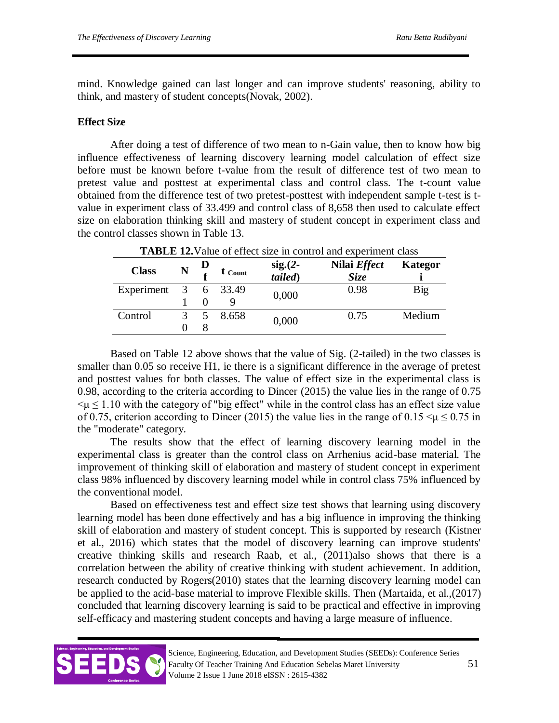mind. Knowledge gained can last longer and can improve students' reasoning, ability to think, and mastery of student concepts(Novak, 2002).

### **Effect Size**

After doing a test of difference of two mean to n-Gain value, then to know how big influence effectiveness of learning discovery learning model calculation of effect size before must be known before t-value from the result of difference test of two mean to pretest value and posttest at experimental class and control class. The t-count value obtained from the difference test of two pretest-posttest with independent sample t-test is tvalue in experiment class of 33.499 and control class of 8,658 then used to calculate effect size on elaboration thinking skill and mastery of student concept in experiment class and the control classes shown in Table 13.

| <b>TADLE 12.</b> Value of Cricer size in control and experiment class |  |   |           |                       |                                    |         |
|-----------------------------------------------------------------------|--|---|-----------|-----------------------|------------------------------------|---------|
| <b>Class</b>                                                          |  |   | t Count   | $sig.(2-)$<br>tailed) | Nilai <i>Effect</i><br><b>Size</b> | Kategor |
| Experiment                                                            |  |   | 3 6 33.49 | 0,000                 | 0.98                               | Big     |
|                                                                       |  |   |           |                       |                                    |         |
| Control                                                               |  | 5 | 8.658     | 0,000                 | 0.75                               | Medium  |
|                                                                       |  |   |           |                       |                                    |         |

**TABLE 12.**Value of effect size in control and experiment class

Based on Table 12 above shows that the value of Sig. (2-tailed) in the two classes is smaller than 0.05 so receive H1, ie there is a significant difference in the average of pretest and posttest values for both classes. The value of effect size in the experimental class is 0.98, according to the criteria according to Dincer (2015) the value lies in the range of 0.75  $\leq \mu \leq 1.10$  with the category of "big effect" while in the control class has an effect size value of 0.75, criterion according to Dincer (2015) the value lies in the range of  $0.15 < \mu \leq 0.75$  in the "moderate" category.

The results show that the effect of learning discovery learning model in the experimental class is greater than the control class on Arrhenius acid-base material. The improvement of thinking skill of elaboration and mastery of student concept in experiment class 98% influenced by discovery learning model while in control class 75% influenced by the conventional model.

Based on effectiveness test and effect size test shows that learning using discovery learning model has been done effectively and has a big influence in improving the thinking skill of elaboration and mastery of student concept. This is supported by research (Kistner et al., 2016) which states that the model of discovery learning can improve students' creative thinking skills and research Raab, et al., (2011)also shows that there is a correlation between the ability of creative thinking with student achievement. In addition, research conducted by Rogers(2010) states that the learning discovery learning model can be applied to the acid-base material to improve Flexible skills. Then (Martaida, et al.,(2017) concluded that learning discovery learning is said to be practical and effective in improving self-efficacy and mastering student concepts and having a large measure of influence.

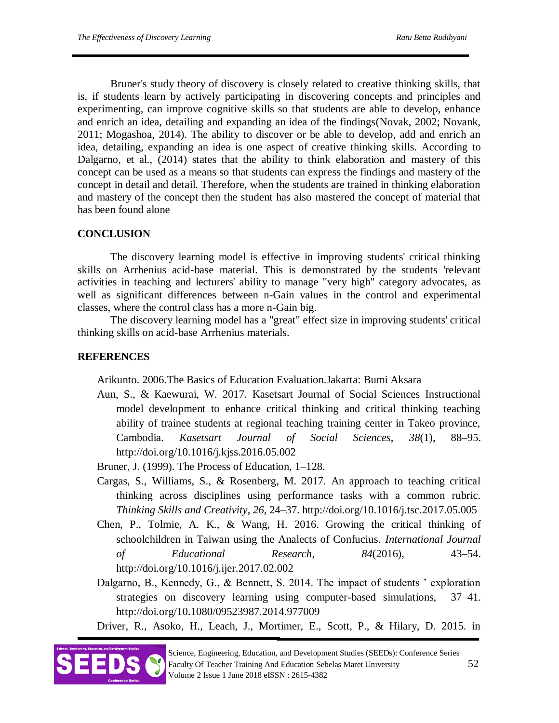Bruner's study theory of discovery is closely related to creative thinking skills, that is, if students learn by actively participating in discovering concepts and principles and experimenting, can improve cognitive skills so that students are able to develop, enhance and enrich an idea, detailing and expanding an idea of the findings(Novak, 2002; Novank, 2011; Mogashoa, 2014). The ability to discover or be able to develop, add and enrich an idea, detailing, expanding an idea is one aspect of creative thinking skills. According to Dalgarno, et al., (2014) states that the ability to think elaboration and mastery of this concept can be used as a means so that students can express the findings and mastery of the concept in detail and detail. Therefore, when the students are trained in thinking elaboration and mastery of the concept then the student has also mastered the concept of material that has been found alone

# **CONCLUSION**

The discovery learning model is effective in improving students' critical thinking skills on Arrhenius acid-base material. This is demonstrated by the students 'relevant activities in teaching and lecturers' ability to manage "very high" category advocates, as well as significant differences between n-Gain values in the control and experimental classes, where the control class has a more n-Gain big.

The discovery learning model has a "great" effect size in improving students' critical thinking skills on acid-base Arrhenius materials.

# **REFERENCES**

Arikunto. 2006.The Basics of Education Evaluation.Jakarta: Bumi Aksara

Aun, S., & Kaewurai, W. 2017. Kasetsart Journal of Social Sciences Instructional model development to enhance critical thinking and critical thinking teaching ability of trainee students at regional teaching training center in Takeo province, Cambodia. *Kasetsart Journal of Social Sciences*, *38*(1), 88–95. http://doi.org/10.1016/j.kjss.2016.05.002

Bruner, J. (1999). The Process of Education, 1–128.

- Cargas, S., Williams, S., & Rosenberg, M. 2017. An approach to teaching critical thinking across disciplines using performance tasks with a common rubric. *Thinking Skills and Creativity*, *26*, 24–37. http://doi.org/10.1016/j.tsc.2017.05.005
- Chen, P., Tolmie, A. K., & Wang, H. 2016. Growing the critical thinking of schoolchildren in Taiwan using the Analects of Confucius. *International Journal of Educational Research*, *84*(2016), 43–54. http://doi.org/10.1016/j.ijer.2017.02.002
- Dalgarno, B., Kennedy, G., & Bennett, S. 2014. The impact of students ' exploration strategies on discovery learning using computer-based simulations, 37–41. http://doi.org/10.1080/09523987.2014.977009

Driver, R., Asoko, H., Leach, J., Mortimer, E., Scott, P., & Hilary, D. 2015. in

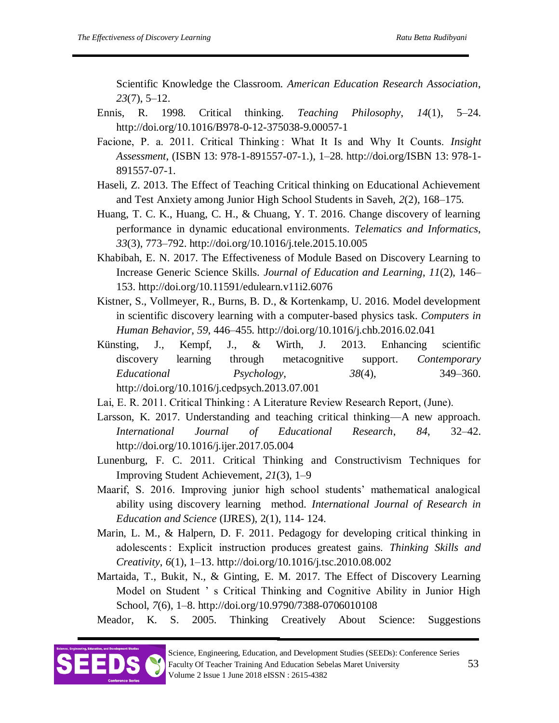Scientific Knowledge the Classroom. *American Education Research Association*, *23*(7), 5–12.

- Ennis, R. 1998. Critical thinking. *Teaching Philosophy*, *14*(1), 5–24. http://doi.org/10.1016/B978-0-12-375038-9.00057-1
- Facione, P. a. 2011. Critical Thinking : What It Is and Why It Counts. *Insight Assessment*, (ISBN 13: 978-1-891557-07-1.), 1–28. http://doi.org/ISBN 13: 978-1- 891557-07-1.
- Haseli, Z. 2013. The Effect of Teaching Critical thinking on Educational Achievement and Test Anxiety among Junior High School Students in Saveh, *2*(2), 168–175.
- Huang, T. C. K., Huang, C. H., & Chuang, Y. T. 2016. Change discovery of learning performance in dynamic educational environments. *Telematics and Informatics*, *33*(3), 773–792. http://doi.org/10.1016/j.tele.2015.10.005
- Khabibah, E. N. 2017. The Effectiveness of Module Based on Discovery Learning to Increase Generic Science Skills. *Journal of Education and Learning*, *11*(2), 146– 153. http://doi.org/10.11591/edulearn.v11i2.6076
- Kistner, S., Vollmeyer, R., Burns, B. D., & Kortenkamp, U. 2016. Model development in scientific discovery learning with a computer-based physics task. *Computers in Human Behavior*, *59*, 446–455. http://doi.org/10.1016/j.chb.2016.02.041
- Künsting, J., Kempf, J., & Wirth, J. 2013. Enhancing scientific discovery learning through metacognitive support. *Contemporary Educational Psychology*, *38*(4), 349–360. http://doi.org/10.1016/j.cedpsych.2013.07.001
- Lai, E. R. 2011. Critical Thinking : A Literature Review Research Report, (June).
- Larsson, K. 2017. Understanding and teaching critical thinking—A new approach. *International Journal of Educational Research*, *84*, 32–42. http://doi.org/10.1016/j.ijer.2017.05.004
- Lunenburg, F. C. 2011. Critical Thinking and Constructivism Techniques for Improving Student Achievement, *21*(3), 1–9
- Maarif, S. 2016. Improving junior high school students' mathematical analogical ability using discovery learning method. *International Journal of Research in Education and Science* (IJRES), 2(1), 114- 124.
- Marin, L. M., & Halpern, D. F. 2011. Pedagogy for developing critical thinking in adolescents : Explicit instruction produces greatest gains. *Thinking Skills and Creativity*, *6*(1), 1–13. http://doi.org/10.1016/j.tsc.2010.08.002
- Martaida, T., Bukit, N., & Ginting, E. M. 2017. The Effect of Discovery Learning Model on Student ' s Critical Thinking and Cognitive Ability in Junior High School, *7*(6), 1–8. http://doi.org/10.9790/7388-0706010108

Meador, K. S. 2005. Thinking Creatively About Science: Suggestions